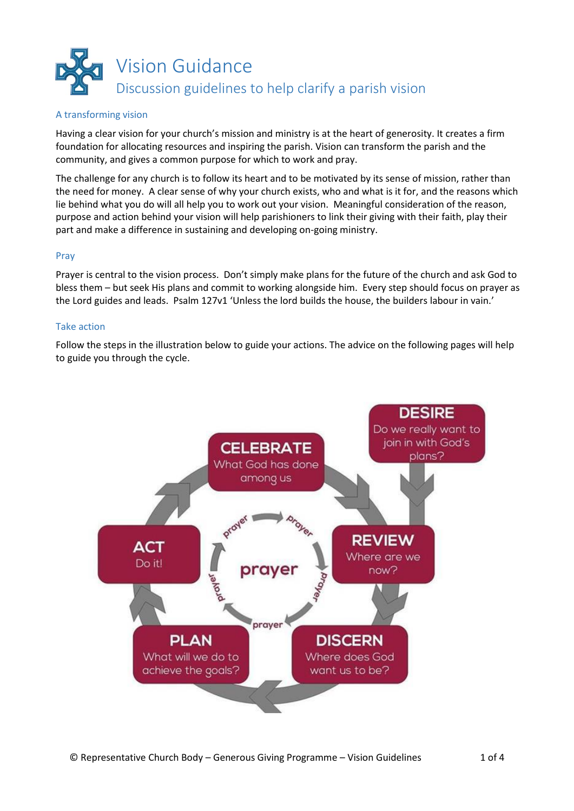

### A transforming vision

Having a clear vision for your church's mission and ministry is at the heart of generosity. It creates a firm foundation for allocating resources and inspiring the parish. Vision can transform the parish and the community, and gives a common purpose for which to work and pray.

The challenge for any church is to follow its heart and to be motivated by its sense of mission, rather than the need for money. A clear sense of why your church exists, who and what is it for, and the reasons which lie behind what you do will all help you to work out your vision. Meaningful consideration of the reason, purpose and action behind your vision will help parishioners to link their giving with their faith, play their part and make a difference in sustaining and developing on-going ministry.

#### Pray

Prayer is central to the vision process. Don't simply make plans for the future of the church and ask God to bless them – but seek His plans and commit to working alongside him. Every step should focus on prayer as the Lord guides and leads. Psalm 127v1 'Unless the lord builds the house, the builders labour in vain.'

### Take action

Follow the steps in the illustration below to guide your actions. The advice on the following pages will help to guide you through the cycle.

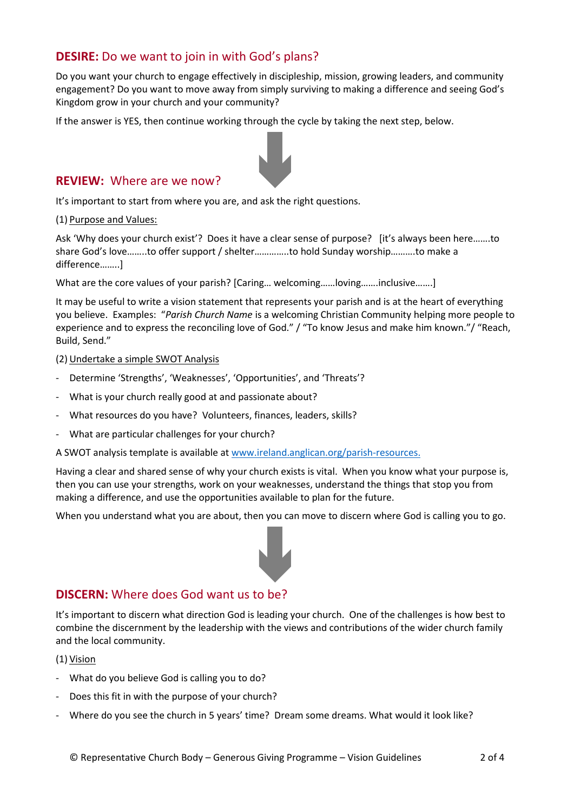# **DESIRE:** Do we want to join in with God's plans?

Do you want your church to engage effectively in discipleship, mission, growing leaders, and community engagement? Do you want to move away from simply surviving to making a difference and seeing God's Kingdom grow in your church and your community?

If the answer is YES, then continue working through the cycle by taking the next step, below.



## **REVIEW:** Where are we now?

It's important to start from where you are, and ask the right questions.

(1) Purpose and Values:

Ask 'Why does your church exist'? Does it have a clear sense of purpose? [it's always been here.......to share God's love……..to offer support / shelter…………..to hold Sunday worship……….to make a difference……..]

What are the core values of your parish? [Caring... welcoming......loving.......inclusive.......]

It may be useful to write a vision statement that represents your parish and is at the heart of everything you believe. Examples: "*Parish Church Name* is a welcoming Christian Community helping more people to experience and to express the reconciling love of God." / "To know Jesus and make him known." / "Reach, Build, Send."

(2) Undertake a simple SWOT Analysis

- Determine 'Strengths', 'Weaknesses', 'Opportunities', and 'Threats'?
- What is your church really good at and passionate about?
- What resources do you have? Volunteers, finances, leaders, skills?
- What are particular challenges for your church?

A SWOT analysis template is available at [www.ireland.anglican.org/parish-resources.](http://www.ireland.anglican.org/parish-resources)

Having a clear and shared sense of why your church exists is vital. When you know what your purpose is, then you can use your strengths, work on your weaknesses, understand the things that stop you from making a difference, and use the opportunities available to plan for the future.

When you understand what you are about, then you can move to discern where God is calling you to go.



## **DISCERN:** Where does God want us to be?

It's important to discern what direction God is leading your church. One of the challenges is how best to combine the discernment by the leadership with the views and contributions of the wider church family and the local community.

(1) Vision

- What do you believe God is calling you to do?
- Does this fit in with the purpose of your church?
- Where do you see the church in 5 years' time? Dream some dreams. What would it look like?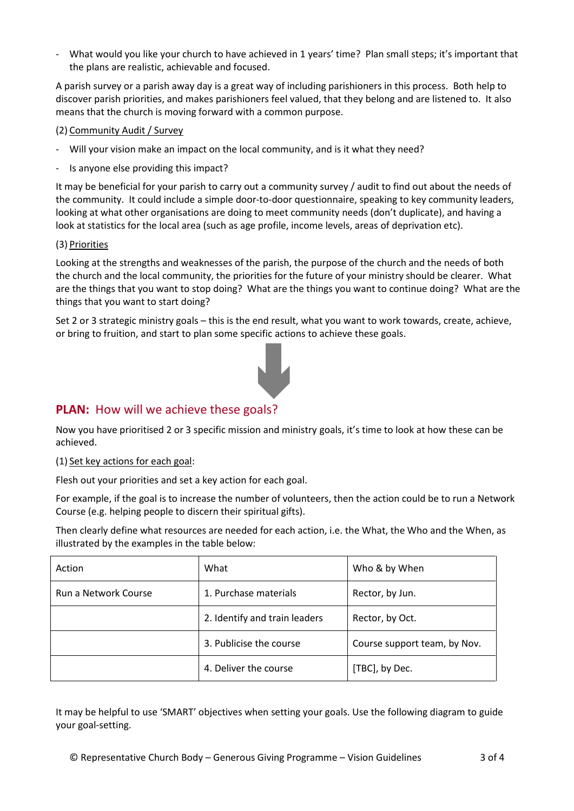- What would you like your church to have achieved in 1 years' time? Plan small steps; it's important that the plans are realistic, achievable and focused.

A parish survey or a parish away day is a great way of including parishioners in this process. Both help to discover parish priorities, and makes parishioners feel valued, that they belong and are listened to. It also means that the church is moving forward with a common purpose.

### (2) Community Audit / Survey

- Will your vision make an impact on the local community, and is it what they need?
- Is anyone else providing this impact?

It may be beneficial for your parish to carry out a community survey / audit to find out about the needs of the community. It could include a simple door-to-door questionnaire, speaking to key community leaders, looking at what other organisations are doing to meet community needs (don't duplicate), and having a look at statistics for the local area (such as age profile, income levels, areas of deprivation etc).

### (3) Priorities

Looking at the strengths and weaknesses of the parish, the purpose of the church and the needs of both the church and the local community, the priorities for the future of your ministry should be clearer. What are the things that you want to stop doing? What are the things you want to continue doing? What are the things that you want to start doing?

Set 2 or 3 strategic ministry goals – this is the end result, what you want to work towards, create, achieve, or bring to fruition, and start to plan some specific actions to achieve these goals.



## **PLAN:** How will we achieve these goals?

Now you have prioritised 2 or 3 specific mission and ministry goals, it's time to look at how these can be achieved.

(1) Set key actions for each goal:

Flesh out your priorities and set a key action for each goal.

For example, if the goal is to increase the number of volunteers, then the action could be to run a Network Course (e.g. helping people to discern their spiritual gifts).

Then clearly define what resources are needed for each action, i.e. the What, the Who and the When, as illustrated by the examples in the table below:

| Action               | What                          | Who & by When                |
|----------------------|-------------------------------|------------------------------|
| Run a Network Course | 1. Purchase materials         | Rector, by Jun.              |
|                      | 2. Identify and train leaders | Rector, by Oct.              |
|                      | 3. Publicise the course       | Course support team, by Nov. |
|                      | 4. Deliver the course         | [TBC], by Dec.               |

It may be helpful to use 'SMART' objectives when setting your goals. Use the following diagram to guide your goal-setting.